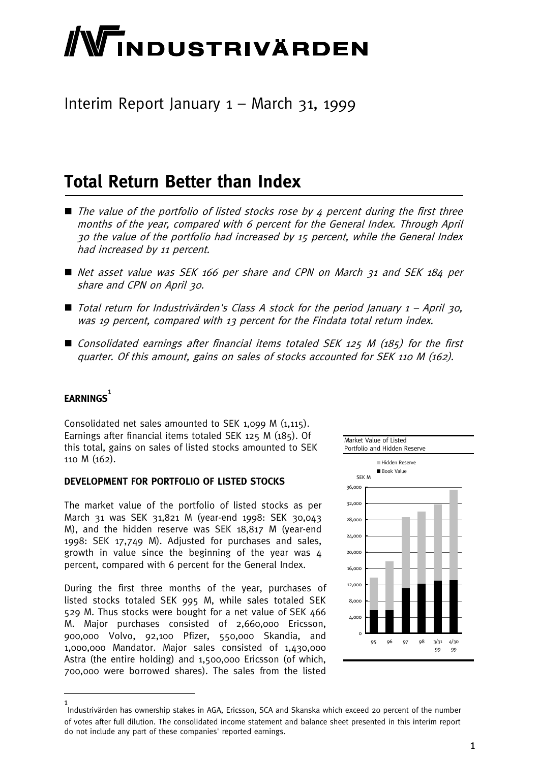# **WINDUSTRIVÄRDEN**

### Interim Report January 1 – March 31, 1999

### **Total Return Better than Index**

- $\blacksquare$  The value of the portfolio of listed stocks rose by 4 percent during the first three months of the year, compared with 6 percent for the General Index. Through April 30 the value of the portfolio had increased by 15 percent, while the General Index had increased by 11 percent.
- Net asset value was SEK 166 per share and CPN on March 31 and SEK 184 per share and CPN on April 30.
- $\blacksquare$  Total return for Industrivärden's Class A stock for the period January  $1 -$  April 30, was 19 percent, compared with 13 percent for the Findata total return index.
- Consolidated earnings after financial items totaled SEK 125 M (185) for the first quarter. Of this amount, gains on sales of stocks accounted for SEK 110 M (162).

### **EARNINGS** 1

Consolidated net sales amounted to SEK 1,099 M (1,115). Earnings after financial items totaled SEK 125 M (185). Of this total, gains on sales of listed stocks amounted to SEK 110 M (162).

#### **DEVELOPMENT FOR PORTFOLIO OF LISTED STOCKS**

The market value of the portfolio of listed stocks as per March 31 was SEK 31,821 M (year-end 1998: SEK 30,043 M), and the hidden reserve was SEK 18,817 M (year-end 1998: SEK 17,749 M). Adjusted for purchases and sales, growth in value since the beginning of the year was 4 percent, compared with 6 percent for the General Index.

During the first three months of the year, purchases of listed stocks totaled SEK 995 M, while sales totaled SEK 529 M. Thus stocks were bought for a net value of SEK 466 M. Major purchases consisted of 2,660,000 Ericsson, 900,000 Volvo, 92,100 Pfizer, 550,000 Skandia, and 1,000,000 Mandator. Major sales consisted of 1,430,000 Astra (the entire holding) and 1,500,000 Ericsson (of which, 700,000 were borrowed shares). The sales from the listed



<sup>1</sup> Industrivärden has ownership stakes in AGA, Ericsson, SCA and Skanska which exceed 20 percent of the number of votes after full dilution. The consolidated income statement and balance sheet presented in this interim report do not include any part of these companies' reported earnings.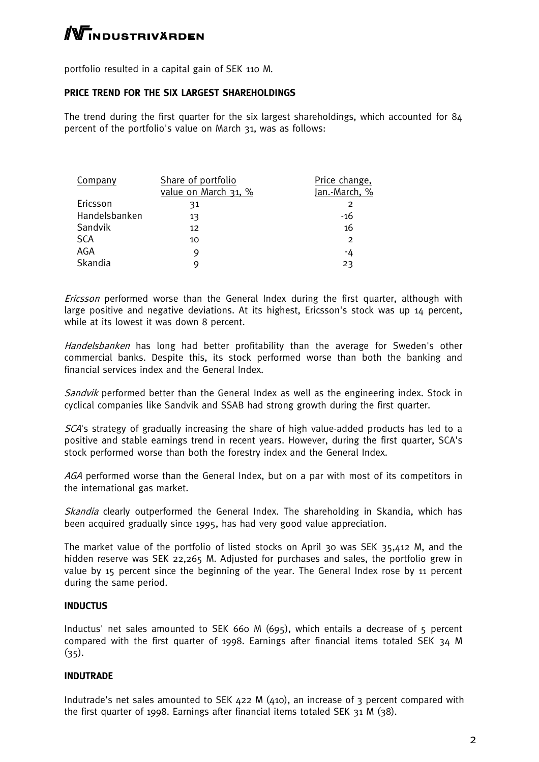## $\mathbb N$ industrivärden

portfolio resulted in a capital gain of SEK 110 M.

#### **PRICE TREND FOR THE SIX LARGEST SHAREHOLDINGS**

The trend during the first quarter for the six largest shareholdings, which accounted for 84 percent of the portfolio's value on March 31, was as follows:

| Company       | Share of portfolio   | Price change,  |
|---------------|----------------------|----------------|
|               | value on March 31, % | Jan.-March, %  |
| Ericsson      | 31                   | 2              |
| Handelsbanken | 13                   | -16            |
| Sandvik       | 12                   | 16             |
| <b>SCA</b>    | 10                   | $\overline{2}$ |
| AGA           | 9                    | -4             |
| Skandia       | q                    | 23             |

Ericsson performed worse than the General Index during the first quarter, although with large positive and negative deviations. At its highest, Ericsson's stock was up 14 percent, while at its lowest it was down 8 percent.

Handelsbanken has long had better profitability than the average for Sweden's other commercial banks. Despite this, its stock performed worse than both the banking and financial services index and the General Index.

Sandvik performed better than the General Index as well as the engineering index. Stock in cyclical companies like Sandvik and SSAB had strong growth during the first quarter.

SCA's strategy of gradually increasing the share of high value-added products has led to a positive and stable earnings trend in recent years. However, during the first quarter, SCA's stock performed worse than both the forestry index and the General Index.

AGA performed worse than the General Index, but on a par with most of its competitors in the international gas market.

Skandia clearly outperformed the General Index. The shareholding in Skandia, which has been acquired gradually since 1995, has had very good value appreciation.

The market value of the portfolio of listed stocks on April 30 was SEK 35,412 M, and the hidden reserve was SEK 22,265 M. Adjusted for purchases and sales, the portfolio grew in value by 15 percent since the beginning of the year. The General Index rose by 11 percent during the same period.

#### **INDUCTUS**

Inductus' net sales amounted to SEK 660 M (695), which entails a decrease of 5 percent compared with the first quarter of 1998. Earnings after financial items totaled SEK 34 M  $(35).$ 

#### **INDUTRADE**

Indutrade's net sales amounted to SEK 422 M (410), an increase of 3 percent compared with the first quarter of 1998. Earnings after financial items totaled SEK 31 M (38).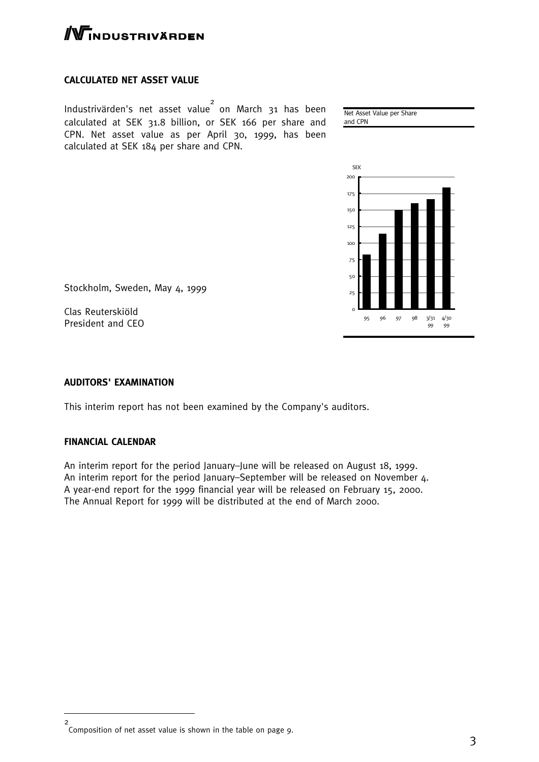

#### **CALCULATED NET ASSET VALUE**

Industrivärden's net asset value 2 on March 31 has been calculated at SEK 31.8 billion, or SEK 166 per share and CPN. Net asset value as per April 30, 1999, has been calculated at SEK 184 per share and CPN.

Net Asset Value per Share and CPN



Stockholm, Sweden, May 4, 1999

Clas Reuterskiöld President and CEO

#### **AUDITORS' EXAMINATION**

This interim report has not been examined by the Company's auditors.

#### **FINANCIAL CALENDAR**

An interim report for the period January–June will be released on August 18, 1999. An interim report for the period January–September will be released on November 4. A year-end report for the 1999 financial year will be released on February 15, 2000. The Annual Report for 1999 will be distributed at the end of March 2000.

<sup>2</sup> Composition of net asset value is shown in the table on page 9.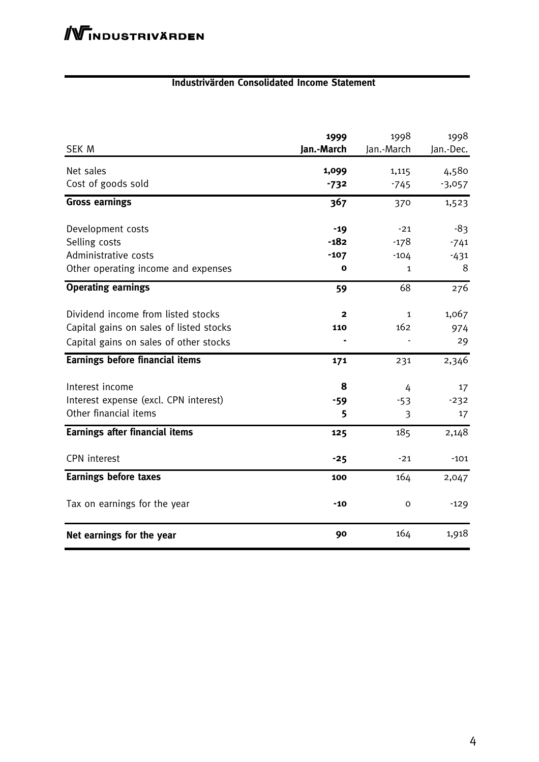#### **Industrivärden Consolidated Income Statement**

| <b>SEK M</b>                            | 1999<br>Jan.-March | 1998<br>Jan.-March | 1998<br>Jan.-Dec. |
|-----------------------------------------|--------------------|--------------------|-------------------|
| Net sales                               | 1,099              | 1,115              | 4,580             |
| Cost of goods sold                      | $-732$             | $-745$             | $-3,057$          |
| <b>Gross earnings</b>                   | 367                | 370                | 1,523             |
| Development costs                       | $-19$              | $-21$              | -83               |
| Selling costs                           | $-182$             | $-178$             | $-741$            |
| Administrative costs                    | $-107$             | $-104$             | $-431$            |
| Other operating income and expenses     | o                  | 1                  | 8                 |
| <b>Operating earnings</b>               | 59                 | 68                 | 276               |
| Dividend income from listed stocks      | $\mathbf{2}$       | $\mathbf{1}$       | 1,067             |
| Capital gains on sales of listed stocks | 110                | 162                | 974               |
| Capital gains on sales of other stocks  |                    |                    | 29                |
| <b>Earnings before financial items</b>  | 171                | 231                | 2,346             |
| Interest income                         | 8                  | 4                  | 17                |
| Interest expense (excl. CPN interest)   | -59                | $-53$              | $-232$            |
| Other financial items                   | 5                  | 3                  | 17                |
| <b>Earnings after financial items</b>   | 125                | 185                | 2,148             |
| <b>CPN</b> interest                     | $-25$              | $-21$              | $-101$            |
| <b>Earnings before taxes</b>            | 100                | 164                | 2,047             |
| Tax on earnings for the year            | $-10$              | 0                  | $-129$            |
| Net earnings for the year               | 90                 | 164                | 1,918             |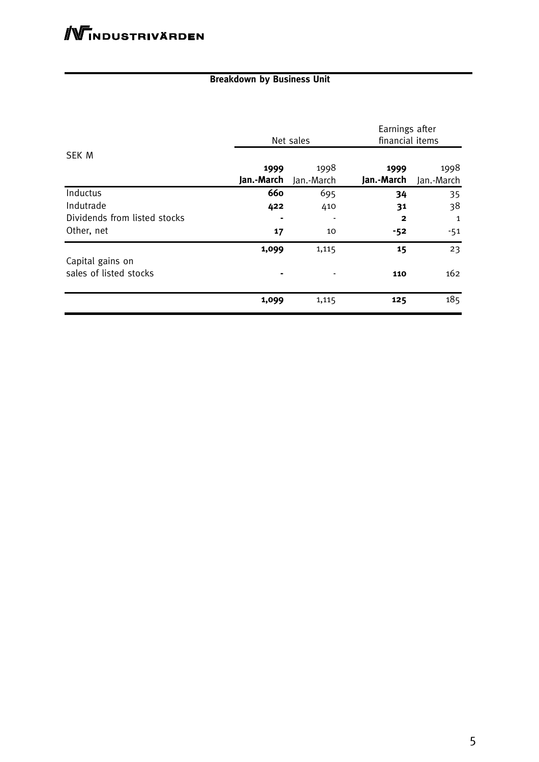#### **Breakdown by Business Unit**

|                                            | Net sales  |            | Earnings after<br>financial items |            |
|--------------------------------------------|------------|------------|-----------------------------------|------------|
| <b>SEK M</b>                               |            |            |                                   |            |
|                                            | 1999       | 1998       | 1999                              | 1998       |
|                                            | Jan.-March | Jan.-March | Jan.-March                        | Jan.-March |
| Inductus                                   | 660        | 695        | 34                                | 35         |
| Indutrade                                  | 422        | 410        | 31                                | 38         |
| Dividends from listed stocks               |            |            | $\mathbf{2}$                      | 1          |
| Other, net                                 | 17         | 10         | -52                               | $-51$      |
|                                            | 1,099      | 1,115      | 15                                | 23         |
| Capital gains on<br>sales of listed stocks |            |            | 110                               | 162        |
|                                            | 1,099      | 1,115      | 125                               | 185        |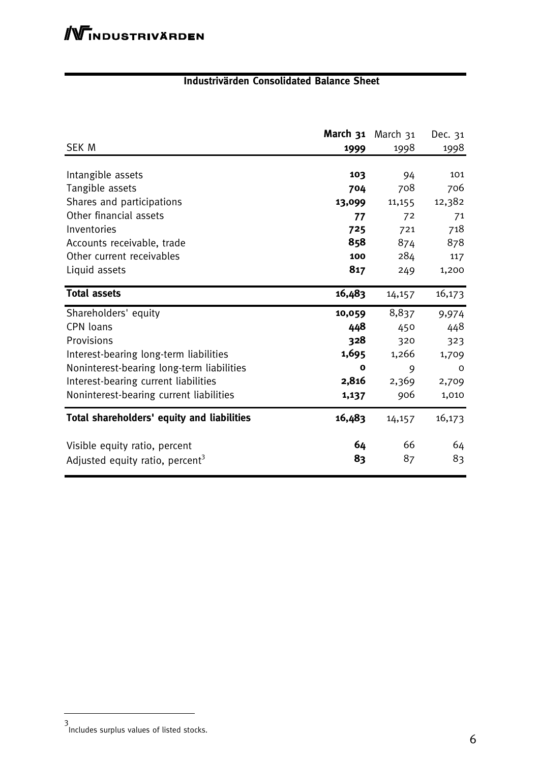#### **Industrivärden Consolidated Balance Sheet**

|                                             | March 31    | March 31 | Dec. 31      |
|---------------------------------------------|-------------|----------|--------------|
| SEK M                                       | 1999        | 1998     | 1998         |
|                                             |             |          |              |
| Intangible assets                           | 103         | 94       | 101          |
| Tangible assets                             | 704         | 708      | 706          |
| Shares and participations                   | 13,099      | 11,155   | 12,382       |
| Other financial assets                      | 77          | 72       | 71           |
| Inventories                                 | 725         | 721      | 718          |
| Accounts receivable, trade                  | 858         | 874      | 878          |
| Other current receivables                   | 100         | 284      | 117          |
| Liquid assets                               | 817         | 249      | 1,200        |
| <b>Total assets</b>                         | 16,483      | 14,157   | 16,173       |
| Shareholders' equity                        | 10,059      | 8,837    | 9,974        |
| CPN loans                                   | 448         | 450      | 448          |
| Provisions                                  | 328         | 320      | 323          |
| Interest-bearing long-term liabilities      | 1,695       | 1,266    | 1,709        |
| Noninterest-bearing long-term liabilities   | $\mathbf o$ | 9        | $\mathsf{o}$ |
| Interest-bearing current liabilities        | 2,816       | 2,369    | 2,709        |
| Noninterest-bearing current liabilities     | 1,137       | 906      | 1,010        |
| Total shareholders' equity and liabilities  | 16,483      | 14,157   | 16,173       |
| Visible equity ratio, percent               | 64          | 66       | 64           |
| Adjusted equity ratio, percent <sup>3</sup> | 83          | 87       | 83           |

<sup>3</sup> Includes surplus values of listed stocks.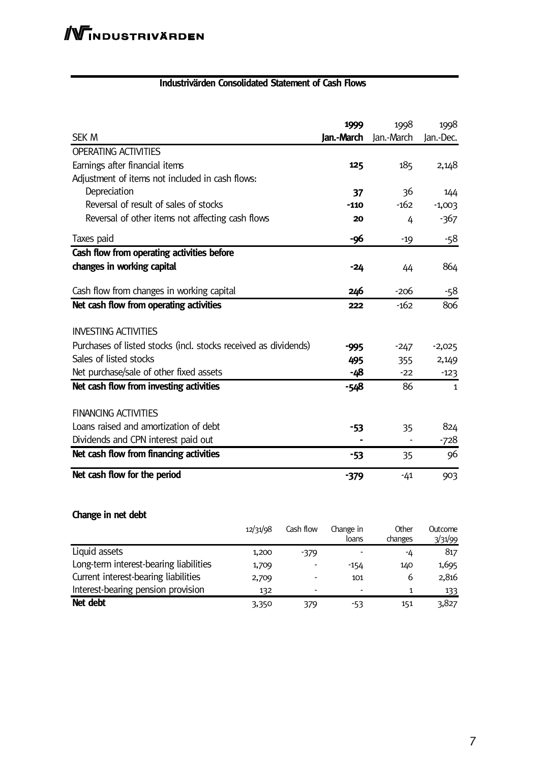#### **Industrivärden Consolidated Statement of Cash Flows**

| <b>SEK M</b>                                                    | 1999<br>Jan.-March | 1998<br>Jan.-March | 1998<br>Jan.-Dec. |
|-----------------------------------------------------------------|--------------------|--------------------|-------------------|
| <b>OPERATING ACTIVITIES</b>                                     |                    |                    |                   |
| Earnings after financial items                                  | 125                | 185                | 2,148             |
| Adjustment of items not included in cash flows:                 |                    |                    |                   |
| Depreciation                                                    | 37                 | 36                 | 144               |
| Reversal of result of sales of stocks                           | $-110$             | $-162$             | $-1,003$          |
| Reversal of other items not affecting cash flows                | 20                 | 4                  | $-367$            |
| Taxes paid                                                      | -96                | $-19$              | -58               |
| Cash flow from operating activities before                      |                    |                    |                   |
| changes in working capital                                      | -24                | 44                 | 864               |
| Cash flow from changes in working capital                       | 246                | -206               | -58               |
| Net cash flow from operating activities                         | 222                | $-162$             | 806               |
| <b>INVESTING ACTIVITIES</b>                                     |                    |                    |                   |
| Purchases of listed stocks (incl. stocks received as dividends) | -995               | $-247$             | $-2,025$          |
| Sales of listed stocks                                          | 495                | 355                | 2,149             |
| Net purchase/sale of other fixed assets                         | -48                | $-22$              | $-123$            |
| Net cash flow from investing activities                         | $-548$             | 86                 | $\mathbf{1}$      |
| <b>FINANCING ACTIVITIES</b>                                     |                    |                    |                   |
| Loans raised and amortization of debt                           | -53                | 35                 | 824               |
| Dividends and CPN interest paid out                             |                    |                    | $-728$            |
| Net cash flow from financing activities                         | -53                | 35                 | 96                |
| Net cash flow for the period                                    | $-379$             | $-41$              | 903               |

#### **Change in net debt**

|                                        | 12/31/98 | Cash flow | Change in<br>loans | Other<br>changes | Outcome<br>3/31/99 |
|----------------------------------------|----------|-----------|--------------------|------------------|--------------------|
| Liquid assets                          | 1,200    | $-379$    |                    | -4               | 817                |
| Long-term interest-bearing liabilities | 1,709    |           | $-154$             | 140              | 1,695              |
| Current interest-bearing liabilities   | 2,709    |           | 101                | 6                | 2,816              |
| Interest-bearing pension provision     | 132      | ۰         |                    | 1                | 133                |
| Net debt                               | 3,350    | 379       | -53                | 151              | 3,827              |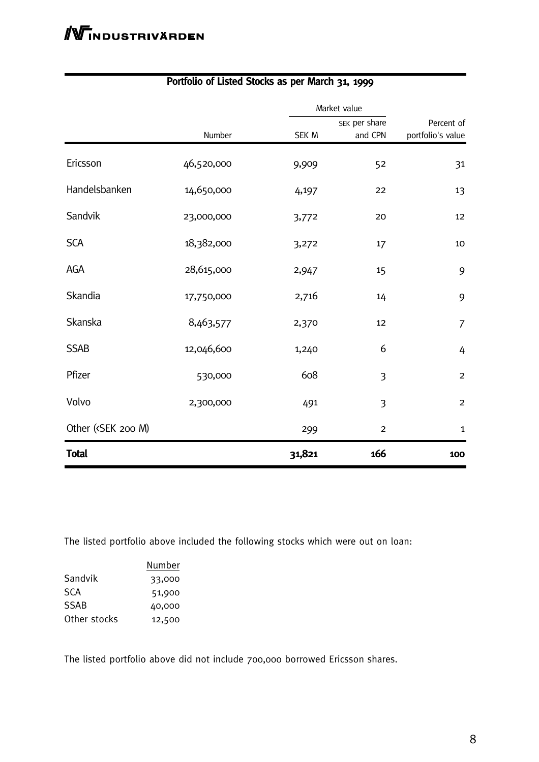|                                                                                                                                |            | Market value |                          |                                 |
|--------------------------------------------------------------------------------------------------------------------------------|------------|--------------|--------------------------|---------------------------------|
|                                                                                                                                | Number     | SEK M        | SEK per share<br>and CPN | Percent of<br>portfolio's value |
| Ericsson                                                                                                                       | 46,520,000 | 9,909        | 52                       | 31                              |
| Handelsbanken                                                                                                                  | 14,650,000 | 4,197        | 22                       | 13                              |
| Sandvik                                                                                                                        | 23,000,000 | 3,772        | 20                       | 12                              |
| <b>SCA</b>                                                                                                                     | 18,382,000 | 3,272        | 17                       | 10                              |
| AGA                                                                                                                            | 28,615,000 | 2,947        | 15                       | 9                               |
| Skandia                                                                                                                        | 17,750,000 | 2,716        | 14                       | 9                               |
| Skanska                                                                                                                        | 8,463,577  | 2,370        | 12                       | $\overline{7}$                  |
| <b>SSAB</b>                                                                                                                    | 12,046,600 | 1,240        | 6                        | 4                               |
| Pfizer                                                                                                                         | 530,000    | 608          | $\overline{3}$           | $\overline{2}$                  |
| Volvo                                                                                                                          | 2,300,000  | 491          | 3                        | $\overline{c}$                  |
| Other ( <sek 200="" m)<="" td=""><td></td><td>299</td><td><math>\overline{2}</math></td><td><math>\mathbf{1}</math></td></sek> |            | 299          | $\overline{2}$           | $\mathbf{1}$                    |
| <b>Total</b>                                                                                                                   |            | 31,821       | 166                      | 100                             |

#### **Portfolio of Listed Stocks as per March 31, 1999**

The listed portfolio above included the following stocks which were out on loan:

|              | Number |
|--------------|--------|
| Sandvik      | 33,000 |
| SCA          | 51,900 |
| SSAB         | 40,000 |
| Other stocks | 12,500 |

The listed portfolio above did not include 700,000 borrowed Ericsson shares.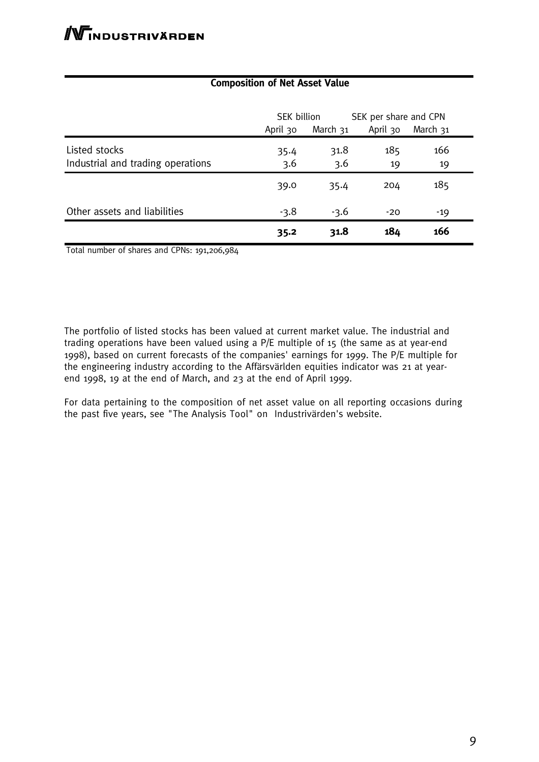|                                                    | SEK billion |             | SEK per share and CPN |           |
|----------------------------------------------------|-------------|-------------|-----------------------|-----------|
|                                                    | April 30    | March 31    | April 30              | March 31  |
| Listed stocks<br>Industrial and trading operations | 35.4<br>3.6 | 31.8<br>3.6 | 185<br>19             | 166<br>19 |
|                                                    | 39.0        | 35.4        | 204                   | 185       |
| Other assets and liabilities                       | $-3.8$      | $-3.6$      | $-20$                 | $-19$     |
|                                                    | 35.2        | 31.8        | 184                   | 166       |

#### **Composition of Net Asset Value**

Total number of shares and CPNs: 191,206,984

The portfolio of listed stocks has been valued at current market value. The industrial and trading operations have been valued using a P/E multiple of 15 (the same as at year-end 1998), based on current forecasts of the companies' earnings for 1999. The P/E multiple for the engineering industry according to the Affärsvärlden equities indicator was 21 at yearend 1998, 19 at the end of March, and 23 at the end of April 1999.

For data pertaining to the composition of net asset value on all reporting occasions during the past five years, see "The Analysis Tool" on Industrivärden's website.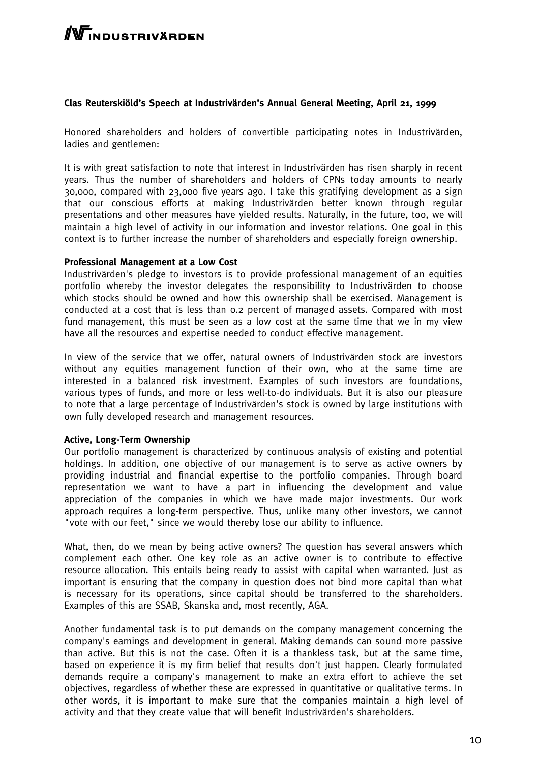## **TNDUSTRIVÄRDEN**

#### **Clas Reuterskiöld's Speech at Industrivärden's Annual General Meeting, April 21, 1999**

Honored shareholders and holders of convertible participating notes in Industrivärden, ladies and gentlemen:

It is with great satisfaction to note that interest in Industrivärden has risen sharply in recent years. Thus the number of shareholders and holders of CPNs today amounts to nearly 30,000, compared with 23,000 five years ago. I take this gratifying development as a sign that our conscious efforts at making Industrivärden better known through regular presentations and other measures have yielded results. Naturally, in the future, too, we will maintain a high level of activity in our information and investor relations. One goal in this context is to further increase the number of shareholders and especially foreign ownership.

#### **Professional Management at a Low Cost**

Industrivärden's pledge to investors is to provide professional management of an equities portfolio whereby the investor delegates the responsibility to Industrivärden to choose which stocks should be owned and how this ownership shall be exercised. Management is conducted at a cost that is less than 0.2 percent of managed assets. Compared with most fund management, this must be seen as a low cost at the same time that we in my view have all the resources and expertise needed to conduct effective management.

In view of the service that we offer, natural owners of Industrivärden stock are investors without any equities management function of their own, who at the same time are interested in a balanced risk investment. Examples of such investors are foundations, various types of funds, and more or less well-to-do individuals. But it is also our pleasure to note that a large percentage of Industrivärden's stock is owned by large institutions with own fully developed research and management resources.

#### **Active, Long-Term Ownership**

Our portfolio management is characterized by continuous analysis of existing and potential holdings. In addition, one objective of our management is to serve as active owners by providing industrial and financial expertise to the portfolio companies. Through board representation we want to have a part in influencing the development and value appreciation of the companies in which we have made major investments. Our work approach requires a long-term perspective. Thus, unlike many other investors, we cannot "vote with our feet," since we would thereby lose our ability to influence.

What, then, do we mean by being active owners? The question has several answers which complement each other. One key role as an active owner is to contribute to effective resource allocation. This entails being ready to assist with capital when warranted. Just as important is ensuring that the company in question does not bind more capital than what is necessary for its operations, since capital should be transferred to the shareholders. Examples of this are SSAB, Skanska and, most recently, AGA.

Another fundamental task is to put demands on the company management concerning the company's earnings and development in general. Making demands can sound more passive than active. But this is not the case. Often it is a thankless task, but at the same time, based on experience it is my firm belief that results don't just happen. Clearly formulated demands require a company's management to make an extra effort to achieve the set objectives, regardless of whether these are expressed in quantitative or qualitative terms. In other words, it is important to make sure that the companies maintain a high level of activity and that they create value that will benefit Industrivärden's shareholders.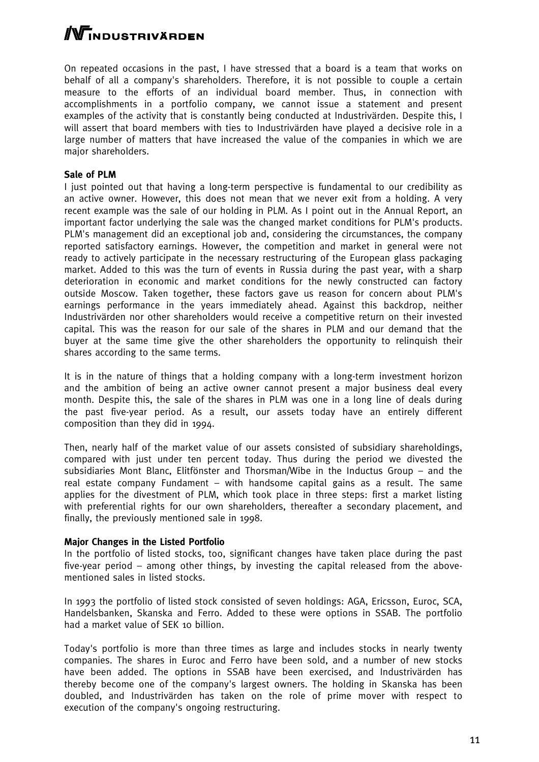WINDUSTRIVÄRDEN

On repeated occasions in the past, I have stressed that a board is a team that works on behalf of all a company's shareholders. Therefore, it is not possible to couple a certain measure to the efforts of an individual board member. Thus, in connection with accomplishments in a portfolio company, we cannot issue a statement and present examples of the activity that is constantly being conducted at Industrivärden. Despite this, I will assert that board members with ties to Industrivärden have played a decisive role in a large number of matters that have increased the value of the companies in which we are major shareholders.

#### **Sale of PLM**

I just pointed out that having a long-term perspective is fundamental to our credibility as an active owner. However, this does not mean that we never exit from a holding. A very recent example was the sale of our holding in PLM. As I point out in the Annual Report, an important factor underlying the sale was the changed market conditions for PLM's products. PLM's management did an exceptional job and, considering the circumstances, the company reported satisfactory earnings. However, the competition and market in general were not ready to actively participate in the necessary restructuring of the European glass packaging market. Added to this was the turn of events in Russia during the past year, with a sharp deterioration in economic and market conditions for the newly constructed can factory outside Moscow. Taken together, these factors gave us reason for concern about PLM's earnings performance in the years immediately ahead. Against this backdrop, neither Industrivärden nor other shareholders would receive a competitive return on their invested capital. This was the reason for our sale of the shares in PLM and our demand that the buyer at the same time give the other shareholders the opportunity to relinquish their shares according to the same terms.

It is in the nature of things that a holding company with a long-term investment horizon and the ambition of being an active owner cannot present a major business deal every month. Despite this, the sale of the shares in PLM was one in a long line of deals during the past five-year period. As a result, our assets today have an entirely different composition than they did in 1994.

Then, nearly half of the market value of our assets consisted of subsidiary shareholdings, compared with just under ten percent today. Thus during the period we divested the subsidiaries Mont Blanc, Elitfönster and Thorsman/Wibe in the Inductus Group – and the real estate company Fundament – with handsome capital gains as a result. The same applies for the divestment of PLM, which took place in three steps: first a market listing with preferential rights for our own shareholders, thereafter a secondary placement, and finally, the previously mentioned sale in 1998.

#### **Major Changes in the Listed Portfolio**

In the portfolio of listed stocks, too, significant changes have taken place during the past five-year period – among other things, by investing the capital released from the abovementioned sales in listed stocks.

In 1993 the portfolio of listed stock consisted of seven holdings: AGA, Ericsson, Euroc, SCA, Handelsbanken, Skanska and Ferro. Added to these were options in SSAB. The portfolio had a market value of SEK 10 billion.

Today's portfolio is more than three times as large and includes stocks in nearly twenty companies. The shares in Euroc and Ferro have been sold, and a number of new stocks have been added. The options in SSAB have been exercised, and Industrivärden has thereby become one of the company's largest owners. The holding in Skanska has been doubled, and Industrivärden has taken on the role of prime mover with respect to execution of the company's ongoing restructuring.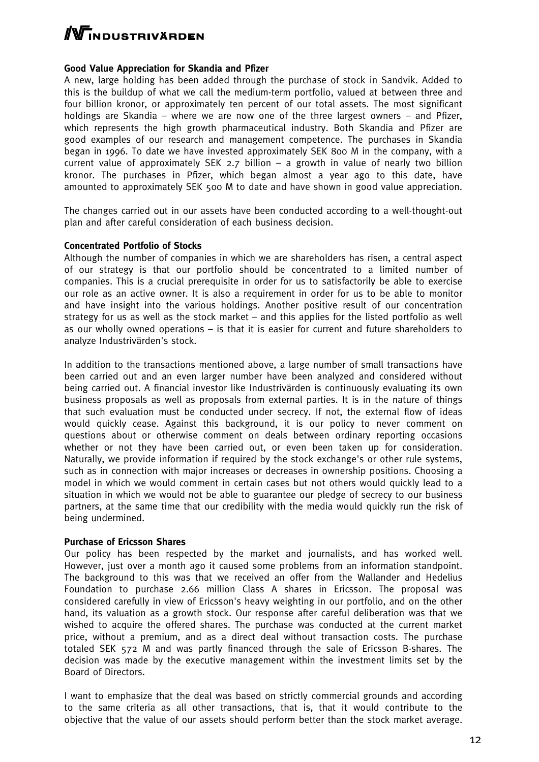# **WINDUSTRIVÄRDEN**

#### **Good Value Appreciation for Skandia and Pfizer**

A new, large holding has been added through the purchase of stock in Sandvik. Added to this is the buildup of what we call the medium-term portfolio, valued at between three and four billion kronor, or approximately ten percent of our total assets. The most significant holdings are Skandia – where we are now one of the three largest owners – and Pfizer, which represents the high growth pharmaceutical industry. Both Skandia and Pfizer are good examples of our research and management competence. The purchases in Skandia began in 1996. To date we have invested approximately SEK 800 M in the company, with a current value of approximately SEK 2.7 billion  $-$  a growth in value of nearly two billion kronor. The purchases in Pfizer, which began almost a year ago to this date, have amounted to approximately SEK 500 M to date and have shown in good value appreciation.

The changes carried out in our assets have been conducted according to a well-thought-out plan and after careful consideration of each business decision.

#### **Concentrated Portfolio of Stocks**

Although the number of companies in which we are shareholders has risen, a central aspect of our strategy is that our portfolio should be concentrated to a limited number of companies. This is a crucial prerequisite in order for us to satisfactorily be able to exercise our role as an active owner. It is also a requirement in order for us to be able to monitor and have insight into the various holdings. Another positive result of our concentration strategy for us as well as the stock market – and this applies for the listed portfolio as well as our wholly owned operations – is that it is easier for current and future shareholders to analyze Industrivärden's stock.

In addition to the transactions mentioned above, a large number of small transactions have been carried out and an even larger number have been analyzed and considered without being carried out. A financial investor like Industrivärden is continuously evaluating its own business proposals as well as proposals from external parties. It is in the nature of things that such evaluation must be conducted under secrecy. If not, the external flow of ideas would quickly cease. Against this background, it is our policy to never comment on questions about or otherwise comment on deals between ordinary reporting occasions whether or not they have been carried out, or even been taken up for consideration. Naturally, we provide information if required by the stock exchange's or other rule systems, such as in connection with major increases or decreases in ownership positions. Choosing a model in which we would comment in certain cases but not others would quickly lead to a situation in which we would not be able to guarantee our pledge of secrecy to our business partners, at the same time that our credibility with the media would quickly run the risk of being undermined.

#### **Purchase of Ericsson Shares**

Our policy has been respected by the market and journalists, and has worked well. However, just over a month ago it caused some problems from an information standpoint. The background to this was that we received an offer from the Wallander and Hedelius Foundation to purchase 2.66 million Class A shares in Ericsson. The proposal was considered carefully in view of Ericsson's heavy weighting in our portfolio, and on the other hand, its valuation as a growth stock. Our response after careful deliberation was that we wished to acquire the offered shares. The purchase was conducted at the current market price, without a premium, and as a direct deal without transaction costs. The purchase totaled SEK 572 M and was partly financed through the sale of Ericsson B-shares. The decision was made by the executive management within the investment limits set by the Board of Directors.

I want to emphasize that the deal was based on strictly commercial grounds and according to the same criteria as all other transactions, that is, that it would contribute to the objective that the value of our assets should perform better than the stock market average.